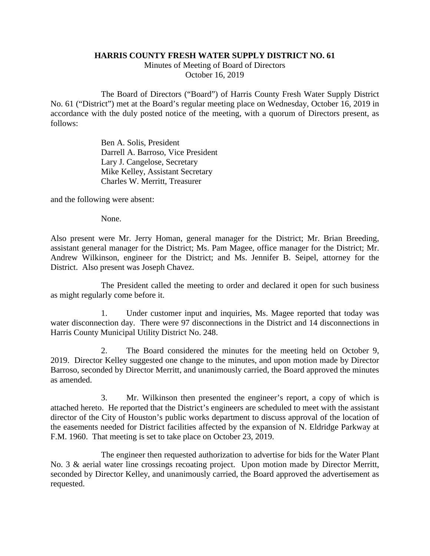## **HARRIS COUNTY FRESH WATER SUPPLY DISTRICT NO. 61**

Minutes of Meeting of Board of Directors October 16, 2019

The Board of Directors ("Board") of Harris County Fresh Water Supply District No. 61 ("District") met at the Board's regular meeting place on Wednesday, October 16, 2019 in accordance with the duly posted notice of the meeting, with a quorum of Directors present, as follows:

> Ben A. Solis, President Darrell A. Barroso, Vice President Lary J. Cangelose, Secretary Mike Kelley, Assistant Secretary Charles W. Merritt, Treasurer

and the following were absent:

None.

Also present were Mr. Jerry Homan, general manager for the District; Mr. Brian Breeding, assistant general manager for the District; Ms. Pam Magee, office manager for the District; Mr. Andrew Wilkinson, engineer for the District; and Ms. Jennifer B. Seipel, attorney for the District. Also present was Joseph Chavez.

The President called the meeting to order and declared it open for such business as might regularly come before it.

1. Under customer input and inquiries, Ms. Magee reported that today was water disconnection day. There were 97 disconnections in the District and 14 disconnections in Harris County Municipal Utility District No. 248.

2. The Board considered the minutes for the meeting held on October 9, 2019. Director Kelley suggested one change to the minutes, and upon motion made by Director Barroso, seconded by Director Merritt, and unanimously carried, the Board approved the minutes as amended.

3. Mr. Wilkinson then presented the engineer's report, a copy of which is attached hereto. He reported that the District's engineers are scheduled to meet with the assistant director of the City of Houston's public works department to discuss approval of the location of the easements needed for District facilities affected by the expansion of N. Eldridge Parkway at F.M. 1960. That meeting is set to take place on October 23, 2019.

The engineer then requested authorization to advertise for bids for the Water Plant No. 3 & aerial water line crossings recoating project. Upon motion made by Director Merritt, seconded by Director Kelley, and unanimously carried, the Board approved the advertisement as requested.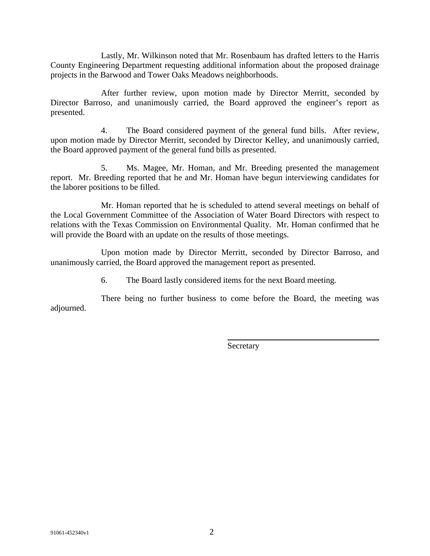Lastly, Mr. Wilkinson noted that Mr. Rosenbaum has drafted letters to the Harris County Engineering Department requesting additional information about the proposed drainage projects in the Barwood and Tower Oaks Meadows neighborhoods.

After further review, upon motion made by Director Merritt, seconded by Director Barroso, and unanimously carried, the Board approved the engineer's report as presented.

4. The Board considered payment of the general fund bills. After review, upon motion made by Director Merritt, seconded by Director Kelley, and unanimously carried, the Board approved payment of the general fund bills as presented.

5. Ms. Magee, Mr. Homan, and Mr. Breeding presented the management report. Mr. Breeding reported that he and Mr. Homan have begun interviewing candidates for the laborer positions to be filled.

Mr. Homan reported that he is scheduled to attend several meetings on behalf of the Local Government Committee of the Association of Water Board Directors with respect to relations with the Texas Commission on Environmental Quality. Mr. Homan confirmed that he will provide the Board with an update on the results of those meetings.

Upon motion made by Director Merritt, seconded by Director Barroso, and unanimously carried, the Board approved the management report as presented.

6. The Board lastly considered items for the next Board meeting.

There being no further business to come before the Board, the meeting was adjourned.

Secretary